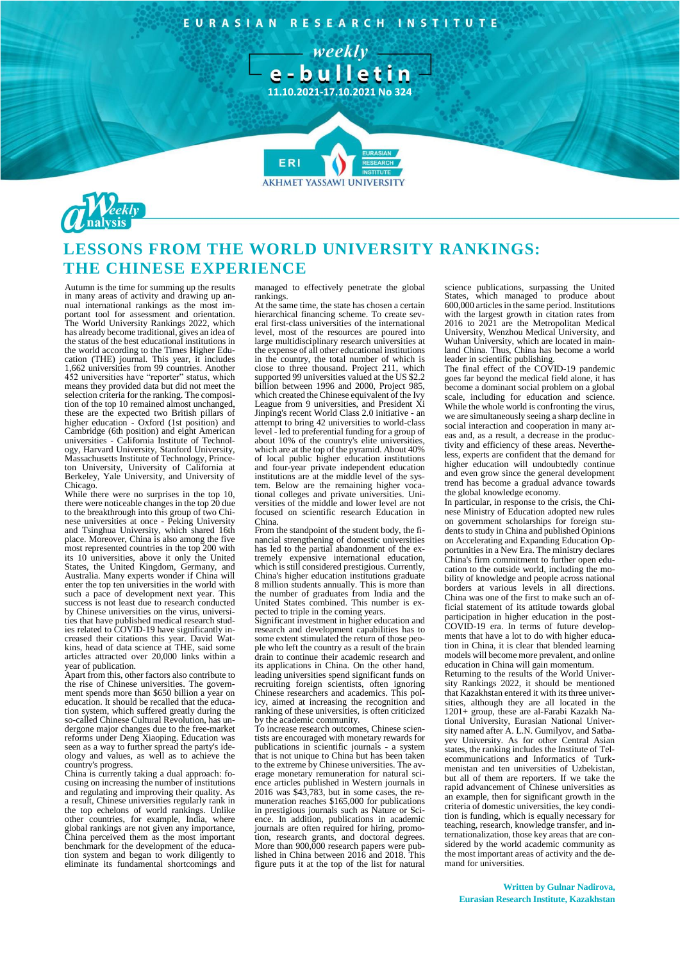EURASIAN RESEARCH INSTITUTE

- weekly e-bulletin

**11.10.2021-17.10.2021 No 324**



# **LESSONS FROM THE WORLD UNIVERSITY RANKINGS: THE CHINESE EXPERIENCE**

**FR** 

Autumn is the time for summing up the results in many areas of activity and drawing up an-nual international rankings as the most important tool for assessment and orientation. The World University Rankings 2022, which has already become traditional, gives an idea of the status of the best educational institutions in the world according to the Times Higher Edu-cation (THE) journal. This year, it includes 1,662 universities from 99 countries. Another 452 universities have "reporter" status, which means they provided data but did not meet the selection criteria for the ranking. The composition of the top 10 remained almost unchanged, these are the expected two British pillars of higher education - Oxford (1st position) and Cambridge (6th position) and eight American universities - California Institute of Technology, Harvard University, Stanford University, Massachusetts Institute of Technology, Princeton University, University of California at Berkeley, Yale University, and University of **Chicago** 

While there were no surprises in the top 10, there were noticeable changes in the top 20 due to the breakthrough into this group of two Chinese universities at once - Peking University and Tsinghua University, which shared 16th place. Moreover, China is also among the five most represented countries in the top 200 with its 10 universities, above it only the United States, the United Kingdom, Germany, and Australia. Many experts wonder if China will enter the top ten universities in the world with such a pace of development next year. This success is not least due to research conducted by Chinese universities on the virus, universities that have published medical research stud-ies related to COVID-19 have significantly increased their citations this year. David Wat-kins, head of data science at THE, said some articles attracted over 20,000 links within a year of publication.

Apart from this, other factors also contribute to the rise of Chinese universities. The govern-ment spends more than \$650 billion a year on education. It should be recalled that the education system, which suffered greatly during the so-called Chinese Cultural Revolution, has undergone major changes due to the free-market reforms under Deng Xiaoping. Education was seen as a way to further spread the party's ideology and values, as well as to achieve the country's progress.

China is currently taking a dual approach: focusing on increasing the number of institutions and regulating and improving their quality. As a result, Chinese universities regularly rank in the top echelons of world rankings. Unlike other countries, for example, India, where global rankings are not given any importance, China perceived them as the most important benchmark for the development of the education system and began to work diligently to eliminate its fundamental shortcomings and managed to effectively penetrate the global rankings.

**AKHMET YASSAWI UNIVERSIT** 

At the same time, the state has chosen a certain hierarchical financing scheme. To create sev-eral first-class universities of the international level, most of the resources are poured into large multidisciplinary research universities at the expense of all other educational institutions in the country, the total number of which is close to three thousand. Project 211, which supported 99 universities valued at the US \$2.2 billion between 1996 and 2000, Project 985, which created the Chinese equivalent of the Ivy League from 9 universities, and President Xi Jinping's recent World Class 2.0 initiative - an attempt to bring 42 universities to world-class level - led to preferential funding for a group of about 10% of the country's elite universities, which are at the top of the pyramid. About 40% of local public higher education institutions and four-year private independent education institutions are at the middle level of the system. Below are the remaining higher vocational colleges and private universities. Uni-versities of the middle and lower level are not focused on scientific research Education in China.

From the standpoint of the student body, the financial strengthening of domestic universities has led to the partial abandonment of the ex-tremely expensive international education, which is still considered prestigious. Currently, China's higher education institutions graduate 8 million students annually. This is more than the number of graduates from India and the United States combined. This number is expected to triple in the coming years. Significant investment in higher education and

research and development capabilities has to some extent stimulated the return of those people who left the country as a result of the brain drain to continue their academic research and its applications in China. On the other hand, leading universities spend significant funds on recruiting foreign scientists, often ignoring Chinese researchers and academics. This policy, aimed at increasing the recognition and ranking of these universities, is often criticized by the academic community.

To increase research outcomes, Chinese scientists are encouraged with monetary rewards for publications in scientific journals - a system that is not unique to China but has been taken to the extreme by Chinese universities. The average monetary remuneration for natural science articles published in Western journals in 2016 was \$43,783, but in some cases, the remuneration reaches \$165,000 for publications in prestigious journals such as Nature or Science. In addition, publications in academic journals are often required for hiring, promotion, research grants, and doctoral degrees. More than 900,000 research papers were published in China between 2016 and 2018. This figure puts it at the top of the list for natural

science publications, surpassing the United States, which managed to produce about 600,000 articles in the same period. Institutions with the largest growth in citation rates from 2016 to 2021 are the Metropolitan Medical University, Wenzhou Medical University, and Wuhan University, which are located in main-land China. Thus, China has become a world leader in scientific publishing.

The final effect of the COVID-19 pandemic goes far beyond the medical field alone, it has become a dominant social problem on a global scale, including for education and science. While the whole world is confronting the virus, we are simultaneously seeing a sharp decline in social interaction and cooperation in many areas and, as a result, a decrease in the productivity and efficiency of these areas. Nevertheless, experts are confident that the demand for higher education will undoubtedly continue and even grow since the general development trend has become a gradual advance towards the global knowledge economy.

In particular, in response to the crisis, the Chinese Ministry of Education adopted new rules on government scholarships for foreign students to study in China and published Opinions on Accelerating and Expanding Education Opportunities in a New Era. The ministry declares China's firm commitment to further open education to the outside world, including the mobility of knowledge and people across national borders at various levels in all directions. China was one of the first to make such an official statement of its attitude towards global participation in higher education in the post-COVID-19 era. In terms of future developments that have a lot to do with higher education in China, it is clear that blended learning models will become more prevalent, and online education in China will gain momentum.

Returning to the results of the World University Rankings 2022, it should be mentioned that Kazakhstan entered it with its three universities, although they are all located in the 1201+ group, these are al-Farabi Kazakh National University, Eurasian National University named after A. L.N. Gumilyov, and Satbayev University. As for other Central Asian states, the ranking includes the Institute of Telecommunications and Informatics of Turkmenistan and ten universities of Uzbekistan, but all of them are reporters. If we take the rapid advancement of Chinese universities as an example, then for significant growth in the criteria of domestic universities, the key condition is funding, which is equally necessary for teaching, research, knowledge transfer, and internationalization, those key areas that are considered by the world academic community as the most important areas of activity and the demand for universities.

## **Written by Gulnar Nadirova, Eurasian Research Institute, Kazakhstan**